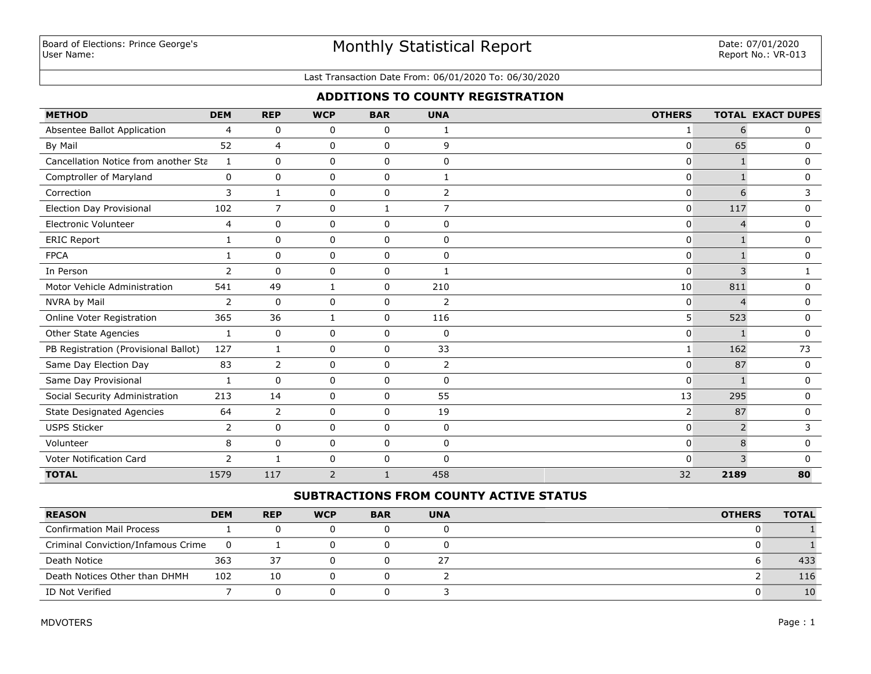# Monthly Statistical Report

#### Last Transaction Date From: 06/01/2020 To: 06/30/2020

## **ADDITIONS TO COUNTY REGISTRATION**

| <b>METHOD</b>                        | <b>DEM</b>     | <b>REP</b>     | <b>WCP</b>   | <b>BAR</b>   | <b>UNA</b>     | <b>OTHERS</b>  |                | <b>TOTAL EXACT DUPES</b> |
|--------------------------------------|----------------|----------------|--------------|--------------|----------------|----------------|----------------|--------------------------|
| Absentee Ballot Application          | $\overline{4}$ | $\mathbf 0$    | 0            | 0            | 1              | 1              | 6              | $\mathbf{0}$             |
| By Mail                              | 52             | 4              | 0            | 0            | 9              | $\pmb{0}$      | 65             | 0                        |
| Cancellation Notice from another Sta | 1              | $\mathbf 0$    | 0            | $\mathbf 0$  | $\mathbf{0}$   | $\Omega$       |                | $\mathbf{0}$             |
| Comptroller of Maryland              | 0              | $\mathbf 0$    | 0            | $\mathbf 0$  | $\mathbf{1}$   | $\mathbf{0}$   | $\mathbf{1}$   | $\mathbf 0$              |
| Correction                           | 3              | $\mathbf{1}$   | 0            | $\mathbf 0$  | $\overline{2}$ | $\mathbf{0}$   | 6              | 3                        |
| <b>Election Day Provisional</b>      | 102            | $\overline{7}$ | 0            | $\mathbf{1}$ | $\overline{7}$ | $\mathbf{0}$   | 117            | $\mathbf 0$              |
| <b>Electronic Volunteer</b>          | 4              | $\Omega$       | 0            | $\mathbf 0$  | $\Omega$       | $\mathbf 0$    | $\overline{4}$ | $\mathbf{0}$             |
| <b>ERIC Report</b>                   | 1              | $\mathbf 0$    | 0            | 0            | $\Omega$       | $\mathbf{0}$   |                | $\mathbf 0$              |
| <b>FPCA</b>                          | $\mathbf{1}$   | $\mathbf 0$    | 0            | $\mathbf 0$  | $\mathbf 0$    | $\mathbf 0$    |                | $\mathbf 0$              |
| In Person                            | 2              | $\Omega$       | 0            | 0            | 1              | $\mathbf 0$    | 3              | $\mathbf{1}$             |
| Motor Vehicle Administration         | 541            | 49             | $\mathbf{1}$ | $\mathsf 0$  | 210            | 10             | 811            | 0                        |
| NVRA by Mail                         | 2              | $\Omega$       | 0            | $\mathbf 0$  | $\overline{2}$ | $\mathbf{0}$   | $\overline{4}$ | $\mathbf{0}$             |
| Online Voter Registration            | 365            | 36             | $\mathbf{1}$ | $\mathbf 0$  | 116            | 5 <sup>1</sup> | 523            | $\mathbf 0$              |
| Other State Agencies                 | 1              | $\mathbf 0$    | 0            | $\mathbf 0$  | 0              | $\mathbf{0}$   | $\mathbf{1}$   | $\mathbf 0$              |
| PB Registration (Provisional Ballot) | 127            | 1              | 0            | $\mathbf 0$  | 33             | 1              | 162            | 73                       |
| Same Day Election Day                | 83             | 2              | 0            | $\mathbf 0$  | 2              | $\mathbf{0}$   | 87             | $\mathbf 0$              |
| Same Day Provisional                 | 1              | $\Omega$       | 0            | 0            | $\Omega$       | $\mathbf{0}$   | $\mathbf{1}$   | $\mathbf{0}$             |
| Social Security Administration       | 213            | 14             | 0            | 0            | 55             | 13             | 295            | $\mathbf 0$              |
| <b>State Designated Agencies</b>     | 64             | 2              | 0            | 0            | 19             | 2              | 87             | 0                        |
| <b>USPS Sticker</b>                  | 2              | $\Omega$       | 0            | $\mathbf 0$  | $\mathbf 0$    | $\mathbf{0}$   | $\overline{2}$ | 3                        |
| Volunteer                            | 8              | $\mathbf 0$    | 0            | $\mathbf 0$  | $\mathbf{0}$   | $\Omega$       | 8              | $\mathbf{0}$             |
| Voter Notification Card              | 2              | $\mathbf{1}$   | 0            | $\mathbf 0$  | $\mathbf{0}$   | $\mathbf{0}$   | 3              | 0                        |
| <b>TOTAL</b>                         | 1579           | 117            | 2            | $\mathbf{1}$ | 458            | 32             | 2189           | 80                       |

## **SUBTRACTIONS FROM COUNTY ACTIVE STATUS**

| <b>REASON</b>                      | <b>DEM</b>     | <b>REP</b> | <b>WCP</b> | <b>BAR</b> | <b>UNA</b> | <b>OTHERS</b> | <b>TOTAL</b> |
|------------------------------------|----------------|------------|------------|------------|------------|---------------|--------------|
| <b>Confirmation Mail Process</b>   |                |            |            |            |            |               |              |
| Criminal Conviction/Infamous Crime | $\overline{0}$ |            |            |            |            |               |              |
| Death Notice                       | 363            | 37         |            |            | 27         |               | 433          |
| Death Notices Other than DHMH      | 102            | 10         |            |            |            |               | 116          |
| ID Not Verified                    |                |            |            |            |            |               | 10           |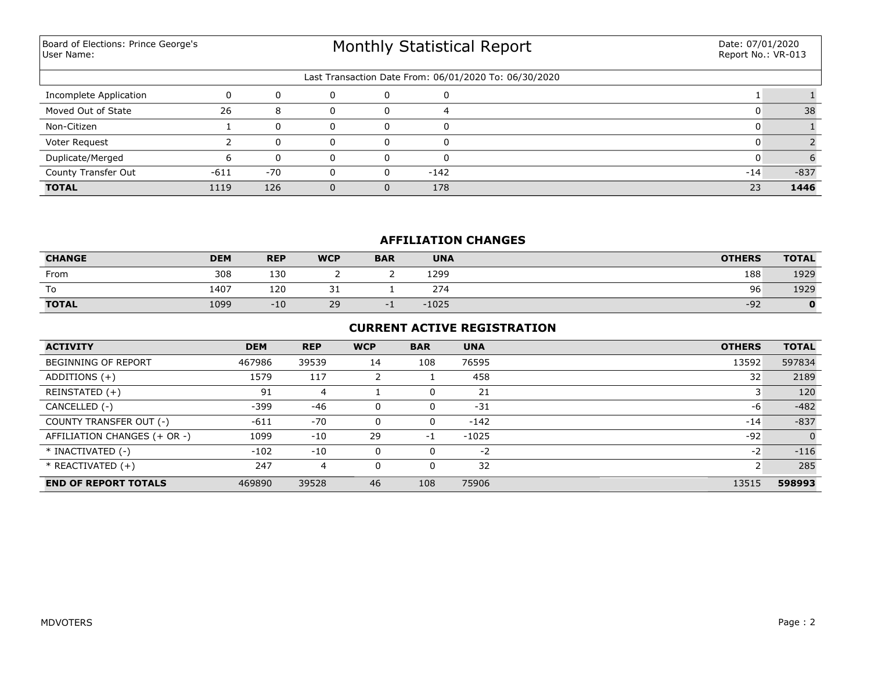Board of Elections: Prince George's User Name:

# Monthly Statistical Report

| Last Transaction Date From: 06/01/2020 To: 06/30/2020 |        |       |   |          |        |       |        |  |  |
|-------------------------------------------------------|--------|-------|---|----------|--------|-------|--------|--|--|
| Incomplete Application                                |        |       |   |          |        |       |        |  |  |
| Moved Out of State                                    | 26     | -8    |   |          |        |       | 38     |  |  |
| Non-Citizen                                           |        |       | 0 | n        |        |       |        |  |  |
| Voter Request                                         |        |       | ი |          |        |       |        |  |  |
| Duplicate/Merged                                      |        |       |   |          |        |       |        |  |  |
| County Transfer Out                                   | $-611$ | $-70$ | 0 | $\Omega$ | $-142$ | $-14$ | $-837$ |  |  |
| <b>TOTAL</b>                                          | 1119   | 126   |   |          | 178    | 23    | 1446   |  |  |

## **AFFILIATION CHANGES**

| <b>CHANGE</b> | <b>DEM</b> | <b>REP</b> | <b>WCP</b> | <b>BAR</b> | <b>UNA</b> | <b>OTHERS</b> | <b>TOTAL</b> |
|---------------|------------|------------|------------|------------|------------|---------------|--------------|
| From          | 308        | 130        |            |            | 1299       | 188           | 1929         |
| To            | 1407       | 120        | ັ          |            | 274        | 96            | 1929         |
| <b>TOTAL</b>  | 1099       | $-10$      | 29         |            | $-1025$    | $-92$         | 0            |

## **CURRENT ACTIVE REGISTRATION**

| <b>ACTIVITY</b>              | <b>DEM</b> | <b>REP</b> | <b>WCP</b> | <b>BAR</b> | <b>UNA</b> | <b>OTHERS</b> | <b>TOTAL</b>   |
|------------------------------|------------|------------|------------|------------|------------|---------------|----------------|
| <b>BEGINNING OF REPORT</b>   | 467986     | 39539      | 14         | 108        | 76595      | 13592         | 597834         |
| ADDITIONS $(+)$              | 1579       | 117        |            |            | 458        | 32            | 2189           |
| REINSTATED (+)               | 91         |            |            | 0          | 21         |               | 120            |
| CANCELLED (-)                | $-399$     | $-46$      |            | 0          | $-31$      | -6            | $-482$         |
| COUNTY TRANSFER OUT (-)      | $-611$     | $-70$      |            | 0          | $-142$     | $-14$         | $-837$         |
| AFFILIATION CHANGES (+ OR -) | 1099       | $-10$      | 29         | $-1$       | $-1025$    | $-92$         | $\overline{0}$ |
| * INACTIVATED (-)            | $-102$     | $-10$      |            | 0          | $-2$       | $-2$          | $-116$         |
| * REACTIVATED (+)            | 247        | 4          |            | 0          | 32         |               | 285            |
| <b>END OF REPORT TOTALS</b>  | 469890     | 39528      | 46         | 108        | 75906      | 13515         | 598993         |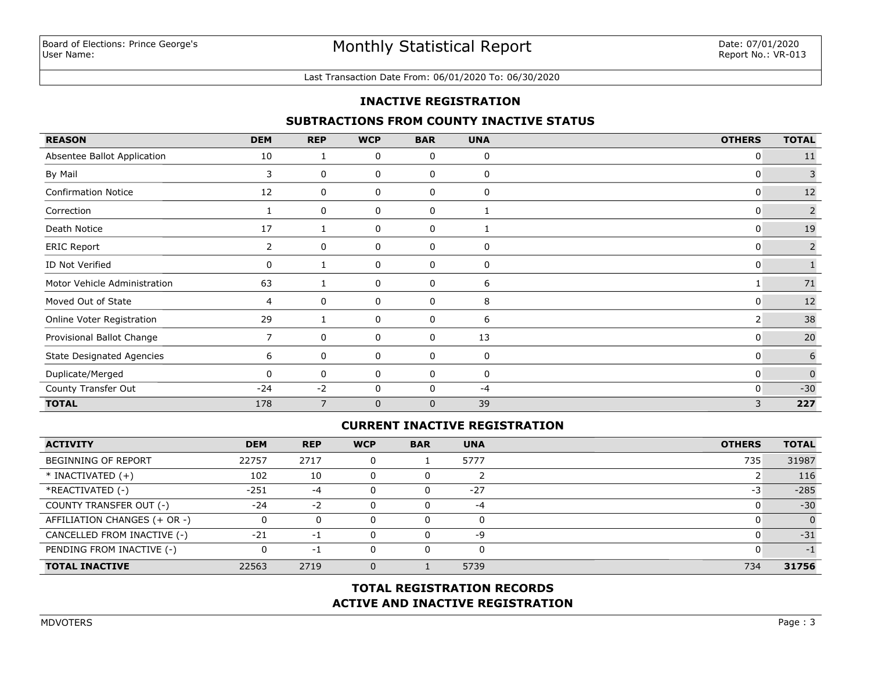#### Last Transaction Date From: 06/01/2020 To: 06/30/2020

### **INACTIVE REGISTRATION**

### **SUBTRACTIONS FROM COUNTY INACTIVE STATUS**

| <b>REASON</b>                    | <b>DEM</b>     | <b>REP</b>     | <b>WCP</b>   | <b>BAR</b>   | <b>UNA</b>   | <b>OTHERS</b> | <b>TOTAL</b>   |
|----------------------------------|----------------|----------------|--------------|--------------|--------------|---------------|----------------|
| Absentee Ballot Application      | 10             | 1              | 0            | 0            | 0            | 0             | 11             |
| By Mail                          | 3              | 0              | 0            | 0            | 0            | 0             | $\overline{3}$ |
| <b>Confirmation Notice</b>       | 12             | 0              | 0            | 0            | 0            | $\mathbf{0}$  | 12             |
| Correction                       |                | 0              | 0            | 0            | $\mathbf{1}$ | 0             | $\overline{2}$ |
| Death Notice                     | 17             |                | 0            | 0            |              | 0             | 19             |
| <b>ERIC Report</b>               | $\overline{2}$ | 0              | 0            | 0            | 0            | 0             | $\overline{2}$ |
| ID Not Verified                  | 0              |                | 0            | 0            | 0            | 0             |                |
| Motor Vehicle Administration     | 63             | 1              | 0            | 0            | 6            |               | $71\,$         |
| Moved Out of State               | 4              | 0              | 0            | 0            | 8            | 0             | 12             |
| Online Voter Registration        | 29             | 1              | 0            | 0            | 6            | 2             | 38             |
| Provisional Ballot Change        | 7              | 0              | 0            | 0            | 13           | 0             | 20             |
| <b>State Designated Agencies</b> | 6              | 0              | 0            | 0            | 0            | 0             | 6              |
| Duplicate/Merged                 | $\Omega$       | 0              | 0            | 0            | 0            | $\mathbf{0}$  | $\Omega$       |
| County Transfer Out              | $-24$          | $-2$           | 0            | $\mathbf{0}$ | -4           | 0             | $-30$          |
| <b>TOTAL</b>                     | 178            | $\overline{7}$ | $\mathbf{0}$ | $\mathbf{0}$ | 39           | 3             | 227            |

## **CURRENT INACTIVE REGISTRATION**

| <b>ACTIVITY</b>              | <b>DEM</b> | <b>REP</b> | <b>WCP</b> | <b>BAR</b> | <b>UNA</b> | <b>OTHERS</b> | <b>TOTAL</b> |
|------------------------------|------------|------------|------------|------------|------------|---------------|--------------|
| BEGINNING OF REPORT          | 22757      | 2717       |            |            | 5777       | 735           | 31987        |
| $*$ INACTIVATED $(+)$        | 102        | 10         |            | 0          |            |               | 116          |
| *REACTIVATED (-)             | $-251$     | -4         |            | 0          | $-27$      | -3            | $-285$       |
| COUNTY TRANSFER OUT (-)      | $-24$      | $-2$       |            | 0          | $-4$       |               | $-30$        |
| AFFILIATION CHANGES (+ OR -) |            |            |            | 0          | 0          |               |              |
| CANCELLED FROM INACTIVE (-)  | $-21$      | $-1$       |            | 0          | -9         |               | $-31$        |
| PENDING FROM INACTIVE (-)    |            | -1         |            | 0          | 0          |               | $-1$         |
| <b>TOTAL INACTIVE</b>        | 22563      | 2719       |            |            | 5739       | 734           | 31756        |

## **ACTIVE AND INACTIVE REGISTRATION TOTAL REGISTRATION RECORDS**